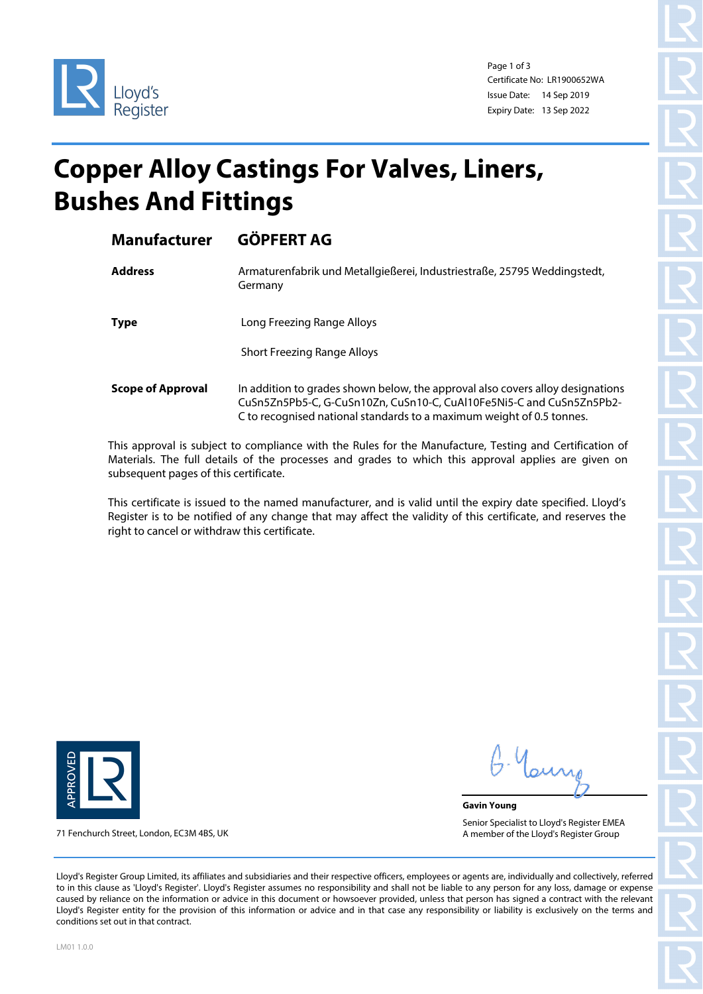

Page 1 of 3 Certificate No: LR1900652WA Issue Date: 14 Sep 2019 Expiry Date: 13 Sep 2022

## **Copper Alloy Castings For Valves, Liners, Bushes And Fittings**

| <b>Manufacturer</b>      | <b>GÖPFERT AG</b>                                                                                                                                                                                                               |
|--------------------------|---------------------------------------------------------------------------------------------------------------------------------------------------------------------------------------------------------------------------------|
| <b>Address</b>           | Armaturenfabrik und Metallgießerei, Industriestraße, 25795 Weddingstedt,<br>Germany                                                                                                                                             |
| <b>Type</b>              | Long Freezing Range Alloys                                                                                                                                                                                                      |
|                          | <b>Short Freezing Range Alloys</b>                                                                                                                                                                                              |
| <b>Scope of Approval</b> | In addition to grades shown below, the approval also covers alloy designations<br>CuSn5Zn5Pb5-C, G-CuSn10Zn, CuSn10-C, CuAl10Fe5Ni5-C and CuSn5Zn5Pb2-<br>C to recognised national standards to a maximum weight of 0.5 tonnes. |

This approval is subject to compliance with the Rules for the Manufacture, Testing and Certification of Materials. The full details of the processes and grades to which this approval applies are given on subsequent pages of this certificate.

This certificate is issued to the named manufacturer, and is valid until the expiry date specified. Lloyd's Register is to be notified of any change that may affect the validity of this certificate, and reserves the right to cancel or withdraw this certificate.



71 Fenchurch Street, London, EC3M 4BS, UK

**Gavin Young** Senior Specialist to Lloyd's Register EMEA A member of the Lloyd's Register Group

Lloyd's Register Group Limited, its affiliates and subsidiaries and their respective officers, employees or agents are, individually and collectively, referred to in this clause as 'Lloyd's Register'. Lloyd's Register assumes no responsibility and shall not be liable to any person for any loss, damage or expense caused by reliance on the information or advice in this document or howsoever provided, unless that person has signed a contract with the relevant Lloyd's Register entity for the provision of this information or advice and in that case any responsibility or liability is exclusively on the terms and conditions set out in that contract.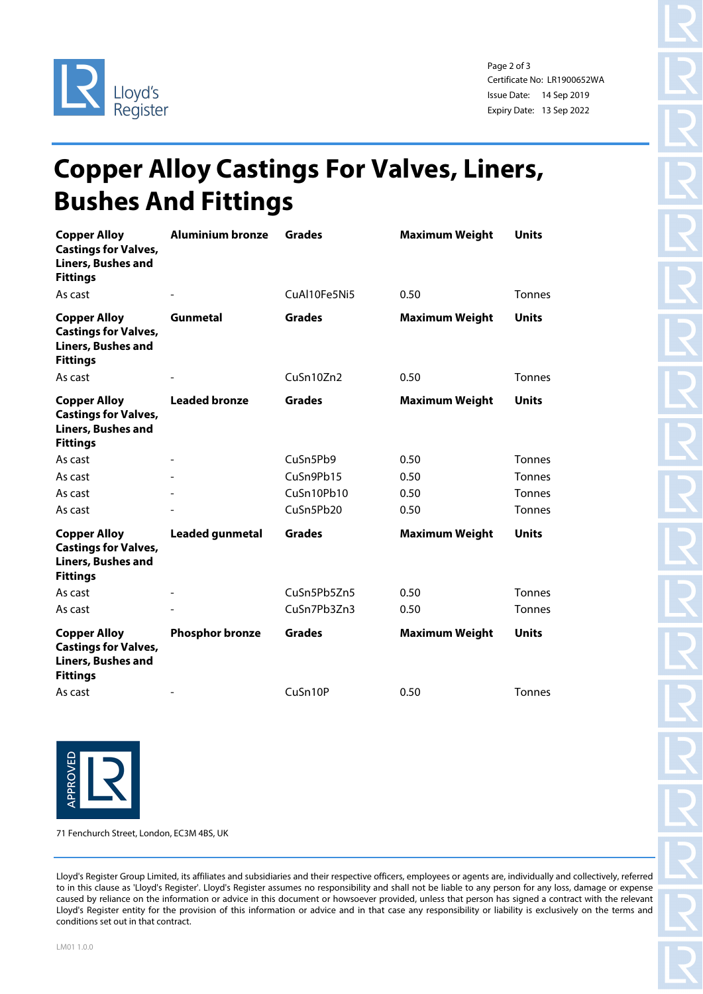

Page 2 of 3 Certificate No: LR1900652WA Issue Date: 14 Sep 2019 Expiry Date: 13 Sep 2022

## **Copper Alloy Castings For Valves, Liners, Bushes And Fittings**

| <b>Copper Alloy</b><br><b>Castings for Valves,</b><br><b>Liners, Bushes and</b><br><b>Fittings</b> | <b>Aluminium bronze</b>  | <b>Grades</b> | <b>Maximum Weight</b> | <b>Units</b>  |
|----------------------------------------------------------------------------------------------------|--------------------------|---------------|-----------------------|---------------|
| As cast                                                                                            |                          | CuAl10Fe5Ni5  | 0.50                  | <b>Tonnes</b> |
| <b>Copper Alloy</b><br><b>Castings for Valves,</b><br><b>Liners, Bushes and</b><br><b>Fittings</b> | Gunmetal                 | <b>Grades</b> | <b>Maximum Weight</b> | <b>Units</b>  |
| As cast                                                                                            |                          | CuSn10Zn2     | 0.50                  | <b>Tonnes</b> |
| <b>Copper Alloy</b><br><b>Castings for Valves,</b><br><b>Liners, Bushes and</b><br><b>Fittings</b> | <b>Leaded bronze</b>     | <b>Grades</b> | <b>Maximum Weight</b> | <b>Units</b>  |
| As cast                                                                                            | $\overline{\phantom{a}}$ | CuSn5Pb9      | 0.50                  | <b>Tonnes</b> |
| As cast                                                                                            |                          | CuSn9Pb15     | 0.50                  | <b>Tonnes</b> |
| As cast                                                                                            |                          | CuSn10Pb10    | 0.50                  | <b>Tonnes</b> |
| As cast                                                                                            |                          | CuSn5Pb20     | 0.50                  | <b>Tonnes</b> |
| <b>Copper Alloy</b><br><b>Castings for Valves,</b><br><b>Liners, Bushes and</b><br><b>Fittings</b> | <b>Leaded gunmetal</b>   | <b>Grades</b> | <b>Maximum Weight</b> | <b>Units</b>  |
| As cast                                                                                            |                          | CuSn5Pb5Zn5   | 0.50                  | <b>Tonnes</b> |
| As cast                                                                                            |                          | CuSn7Pb3Zn3   | 0.50                  | <b>Tonnes</b> |
| <b>Copper Alloy</b><br><b>Castings for Valves,</b><br><b>Liners, Bushes and</b><br><b>Fittings</b> | <b>Phosphor bronze</b>   | <b>Grades</b> | <b>Maximum Weight</b> | <b>Units</b>  |
| As cast                                                                                            |                          | CuSn10P       | 0.50                  | <b>Tonnes</b> |



71 Fenchurch Street, London, EC3M 4BS, UK

Lloyd's Register Group Limited, its affiliates and subsidiaries and their respective officers, employees or agents are, individually and collectively, referred to in this clause as 'Lloyd's Register'. Lloyd's Register assumes no responsibility and shall not be liable to any person for any loss, damage or expense caused by reliance on the information or advice in this document or howsoever provided, unless that person has signed a contract with the relevant Lloyd's Register entity for the provision of this information or advice and in that case any responsibility or liability is exclusively on the terms and conditions set out in that contract.